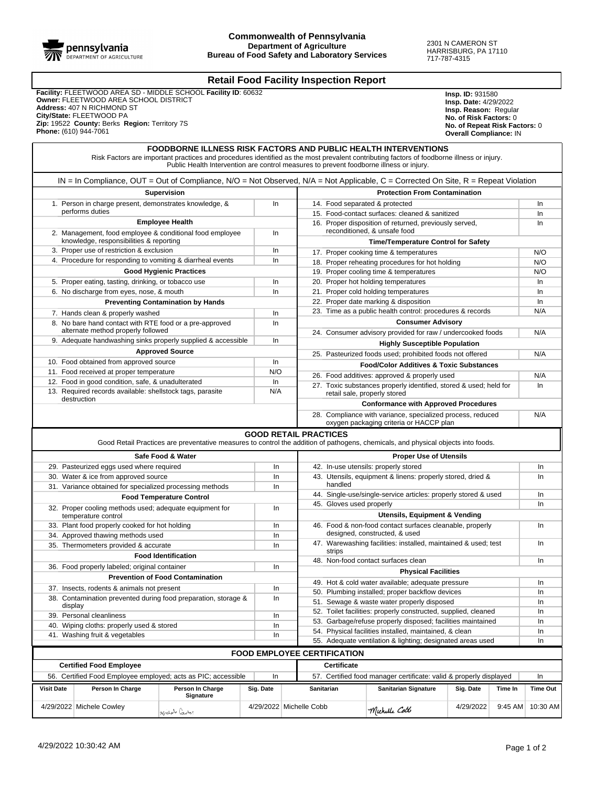

## **Retail Food Facility Inspection Report**

 **Facility:** FLEETWOOD AREA SD - MIDDLE SCHOOL **Facility ID**: 60632  **Owner:** FLEETWOOD AREA SCHOOL DISTRICT  **Address:** 407 N RICHMOND ST  **City/State:** FLEETWOOD PA  **Zip:** 19522 **County:** Berks **Region:** Territory 7S  **Phone:** (610) 944-7061

**Insp. ID:** 931580 **Insp. Date:** 4/29/2022 **Insp. Reason:** Regular **No. of Risk Factors:** 0 **No. of Repeat Risk Factors:** 0 **Overall Compliance:** IN

## IN = In Compliance, OUT = Out of Compliance, N/O = Not Observed, N/A = Not Applicable, C = Corrected On Site, R = Repeat Violation **Protection From Contamination** 14. Food separated & protected in the Index of the Index of Index Separated Index Separated Index Separated Index Separated Index Separated Index Separated Index Separated Index Separated Index Separated Index Separated In 15. Food-contact surfaces: cleaned & sanitized In 16. Proper disposition of returned, previously served, reconditioned, & unsafe food In **Time/Temperature Control for Safety** 17. Proper cooking time & temperatures  $\vert$  N/O 18. Proper reheating procedures for hot holding N/O 19. Proper cooling time & temperatures N/O 20. Proper hot holding temperatures and a set of the local proper state of the local property of the local property of the local property of the local property of the local property of the local property of the local prope 21. Proper cold holding temperatures **In the set of the set of the set of the set of the set of the set of the set of the set of the set of the set of the set of the set of the set of the set of the set of the set of the s** 22. Proper date marking & disposition in Intervalse and Intervalse in Intervalse in Intervalse in Intervalse in 23. Time as a public health control: procedures & records N/A **Consumer Advisory** 24. Consumer advisory provided for raw / undercooked foods N/A **Highly Susceptible Population** 25. Pasteurized foods used; prohibited foods not offered N/A **Food/Color Additives & Toxic Substances** 26. Food additives: approved & properly used N/A 27. Toxic substances properly identified, stored & used; held for retail sale, properly stored In **Conformance with Approved Procedures** 28. Compliance with variance, specialized process, reduced oxygen packaging criteria or HACCP plan N/A **FOODBORNE ILLNESS RISK FACTORS AND PUBLIC HEALTH INTERVENTIONS** Risk Factors are important practices and procedures identified as the most prevalent contributing factors of foodborne illness or injury. Public Health Intervention are control measures to prevent foodborne illness or injury. **Supervision** 1. Person in charge present, demonstrates knowledge, & performs duties In **Employee Health** 2. Management, food employee & conditional food employee knowledge, responsibilities & reporting In 3. Proper use of restriction & exclusion Intervalse and Intervalse intervalse intervalse intervalse intervalse 4. Procedure for responding to vomiting & diarrheal events In **Good Hygienic Practices** 5. Proper eating, tasting, drinking, or tobacco use In 6. No discharge from eyes, nose, & mouth In **Preventing Contamination by Hands** 7. Hands clean & properly washed In 8. No bare hand contact with RTE food or a pre-approved alternate method properly followed In 9. Adequate handwashing sinks properly supplied & accessible | In **Approved Source** 10. Food obtained from approved source **Industrial Study of the Industrial Contract Contract Contract Contract** 11. Food received at proper temperature **N/O** 12. Food in good condition, safe, & unadulterated **In** In 13. Required records available: shellstock tags, parasite destruction N/A **Proper Use of Utensils** 42. In-use utensils: properly stored **Intervalse and Alace in the Intervalse and Intervalse in the Intervalse and Intervalse in the Intervalse and Intervalse in the Intervalse intervalse in the Intervalse intervalse in the** 43. Utensils, equipment & linens: properly stored, dried & handled In 44. Single-use/single-service articles: properly stored & used In 45. Gloves used properly **International Contract Contract Contract Contract Contract Contract Contract Contract Contract Contract Contract Contract Contract Contract Contract Contract Contract Contract Contract Contract Co Utensils, Equipment & Vending** 46. Food & non-food contact surfaces cleanable, properly designed, constructed, & used In 47. Warewashing facilities: installed, maintained & used; test strips In 48. Non-food contact surfaces clean Internal Internal Internal Internal Internal Internal Internal Internal Internal Internal Internal Internal Internal Internal Internal Internal Internal Internal Internal Internal Intern **Physical Facilities** 49. Hot & cold water available; adequate pressure 50. Plumbing installed; proper backflow devices and in the ln 51. Sewage & waste water properly disposed and all the line 52. Toilet facilities: properly constructed, supplied, cleaned In 53. Garbage/refuse properly disposed; facilities maintained In 54. Physical facilities installed, maintained, & clean Innumeration Innumeration 55. Adequate ventilation & lighting; designated areas used In **Safe Food & Water** 29. Pasteurized eggs used where required **Industries** Industries 30. Water & ice from approved source Inc. Inc. Inc. 31. Variance obtained for specialized processing methods | In **Food Temperature Control** 32. Proper cooling methods used; adequate equipment for temperature control In 33. Plant food properly cooked for hot holding Independent Independent Independent Independent Independent Independent Independent Independent Independent Independent Independent Independent Independent Independent Indepen 34. Approved thawing methods used Indian Section 1.1 Indian Section 1.1 Indian Section 1.1 Indian Section 1.1 In 35. Thermometers provided & accurate In **Food Identification** 36. Food properly labeled; original container **Inches** Inc. In **Prevention of Food Contamination** 37. Insects, rodents & animals not present **Independent Independent** Independent Independent Independent Independent Independent Independent Independent Independent Independent Independent Independent Independent Independe 38. Contamination prevented during food preparation, storage & display In 39. Personal cleanliness in the state of the state of the state of the state of the state of the state of the state of the state of the state of the state of the state of the state of the state of the state of the state of 40. Wiping cloths: properly used & stored Intervalsed Intervalsed Intervalsed Intervalsed Intervalsed Intervalsed Intervalsed Intervalsed Intervalsed Intervalsed Intervalsed Intervalsed Intervalsed Intervalsed Intervalsed 41. Washing fruit & vegetables **Inc. Inc. 1999** Inc. **1999** Inc. **1999** Inc. **1999** Inc. **1999** Inc. **1999** Inc. **1999 GOOD RETAIL PRACTICES** Good Retail Practices are preventative measures to control the addition of pathogens, chemicals, and physical objects into foods. **Certificate** 57. Certified food manager certificate: valid & properly displayed In **FOOD EMPLOYEE CERTIFICATION Certified Food Employee** 56. Certified Food Employee employed; acts as PIC; accessible | In **Visit Date Person In Charge Person In Charge Signature Sig. Date Sanitarian Sanitarian Signature Sig. Date Time In Time Out** 4/29/2022 Michele Cowley 1/29/2022 4/29/2022 Michelle Cobb  $\mathcal{M}_{\ell}$  4/29/2022 4/29/2022 9:45 AM 10:30 AM